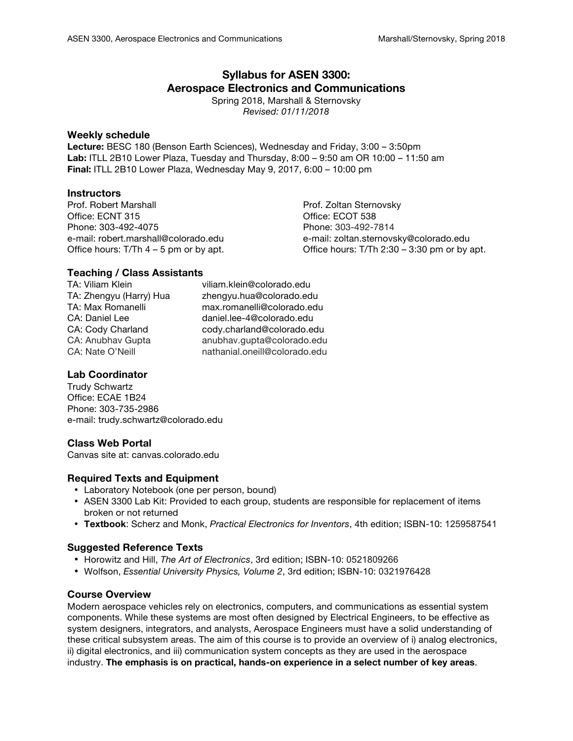# **Syllabus for ASEN 3300: Aerospace Electronics and Communications**

Spring 2018, Marshall & Sternovsky *Revised: 01/11/2018*

#### **Weekly schedule**

**Lecture:** BESC 180 (Benson Earth Sciences), Wednesday and Friday, 3:00 – 3:50pm **Lab:** ITLL 2B10 Lower Plaza, Tuesday and Thursday, 8:00 – 9:50 am OR 10:00 – 11:50 am **Final:** ITLL 2B10 Lower Plaza, Wednesday May 9, 2017, 6:00 – 10:00 pm

### **Instructors**

Prof. Robert Marshall **Prof. Zoltan Sternovsky** Office: ECNT 315 Office: ECOT 538 Phone: 303-492-4075 Phone: 303-492-7814

e-mail: robert.marshall@colorado.edu e-mail: zoltan.sternovsky@colorado.edu Office hours: T/Th 4 – 5 pm or by apt. Office hours: T/Th 2:30 – 3:30 pm or by apt.

# **Teaching / Class Assistants**

TA: Viliam Klein viliam.klein@colorado.edu TA: Zhengyu (Harry) Hua zhengyu.hua@colorado.edu TA: Max Romanelli max.romanelli@colorado.edu CA: Daniel Lee daniel.lee-4@colorado.edu CA: Cody Charland cody.charland@colorado.edu CA: Anubhav Gupta anubhav.gupta@colorado.edu CA: Nate O'Neill nathanial.oneill@colorado.edu

## **Lab Coordinator**

Trudy Schwartz Office: ECAE 1B24 Phone: 303-735-2986 e-mail: trudy.schwartz@colorado.edu

### **Class Web Portal**

Canvas site at: canvas.colorado.edu

### **Required Texts and Equipment**

- Laboratory Notebook (one per person, bound)
- ASEN 3300 Lab Kit: Provided to each group, students are responsible for replacement of items broken or not returned
- **Textbook**: Scherz and Monk, *Practical Electronics for Inventors*, 4th edition; ISBN-10: 1259587541

### **Suggested Reference Texts**

- Horowitz and Hill, *The Art of Electronics*, 3rd edition; ISBN-10: 0521809266
- Wolfson, *Essential University Physics, Volume 2*, 3rd edition; ISBN-10: 0321976428

### **Course Overview**

Modern aerospace vehicles rely on electronics, computers, and communications as essential system components. While these systems are most often designed by Electrical Engineers, to be effective as system designers, integrators, and analysts, Aerospace Engineers must have a solid understanding of these critical subsystem areas. The aim of this course is to provide an overview of i) analog electronics, ii) digital electronics, and iii) communication system concepts as they are used in the aerospace industry. **The emphasis is on practical, hands-on experience in a select number of key areas**.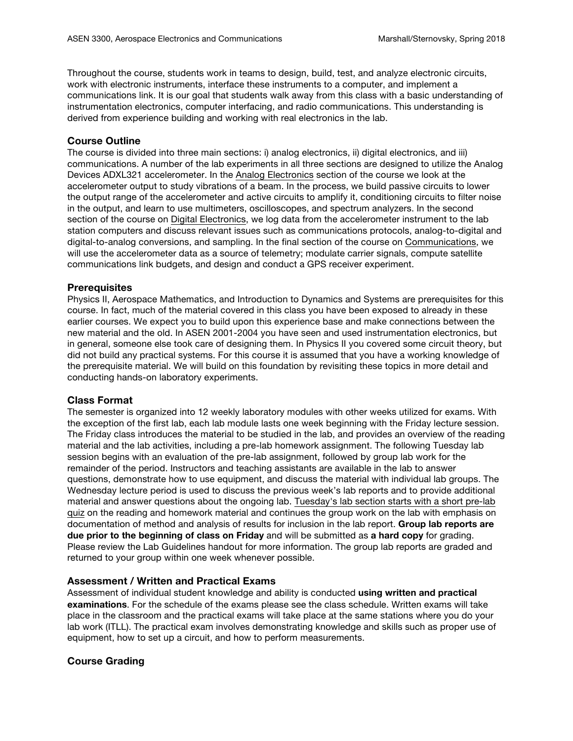Throughout the course, students work in teams to design, build, test, and analyze electronic circuits, work with electronic instruments, interface these instruments to a computer, and implement a communications link. It is our goal that students walk away from this class with a basic understanding of instrumentation electronics, computer interfacing, and radio communications. This understanding is derived from experience building and working with real electronics in the lab.

### **Course Outline**

The course is divided into three main sections: i) analog electronics, ii) digital electronics, and iii) communications. A number of the lab experiments in all three sections are designed to utilize the Analog Devices ADXL321 accelerometer. In the Analog Electronics section of the course we look at the accelerometer output to study vibrations of a beam. In the process, we build passive circuits to lower the output range of the accelerometer and active circuits to amplify it, conditioning circuits to filter noise in the output, and learn to use multimeters, oscilloscopes, and spectrum analyzers. In the second section of the course on Digital Electronics, we log data from the accelerometer instrument to the lab station computers and discuss relevant issues such as communications protocols, analog-to-digital and digital-to-analog conversions, and sampling. In the final section of the course on Communications, we will use the accelerometer data as a source of telemetry; modulate carrier signals, compute satellite communications link budgets, and design and conduct a GPS receiver experiment.

#### **Prerequisites**

Physics II, Aerospace Mathematics, and Introduction to Dynamics and Systems are prerequisites for this course. In fact, much of the material covered in this class you have been exposed to already in these earlier courses. We expect you to build upon this experience base and make connections between the new material and the old. In ASEN 2001-2004 you have seen and used instrumentation electronics, but in general, someone else took care of designing them. In Physics II you covered some circuit theory, but did not build any practical systems. For this course it is assumed that you have a working knowledge of the prerequisite material. We will build on this foundation by revisiting these topics in more detail and conducting hands-on laboratory experiments.

### **Class Format**

The semester is organized into 12 weekly laboratory modules with other weeks utilized for exams. With the exception of the first lab, each lab module lasts one week beginning with the Friday lecture session. The Friday class introduces the material to be studied in the lab, and provides an overview of the reading material and the lab activities, including a pre-lab homework assignment. The following Tuesday lab session begins with an evaluation of the pre-lab assignment, followed by group lab work for the remainder of the period. Instructors and teaching assistants are available in the lab to answer questions, demonstrate how to use equipment, and discuss the material with individual lab groups. The Wednesday lecture period is used to discuss the previous week's lab reports and to provide additional material and answer questions about the ongoing lab. Tuesday's lab section starts with a short pre-lab quiz on the reading and homework material and continues the group work on the lab with emphasis on documentation of method and analysis of results for inclusion in the lab report. **Group lab reports are due prior to the beginning of class on Friday** and will be submitted as **a hard copy** for grading. Please review the Lab Guidelines handout for more information. The group lab reports are graded and returned to your group within one week whenever possible.

### **Assessment / Written and Practical Exams**

Assessment of individual student knowledge and ability is conducted **using written and practical examinations**. For the schedule of the exams please see the class schedule. Written exams will take place in the classroom and the practical exams will take place at the same stations where you do your lab work (ITLL). The practical exam involves demonstrating knowledge and skills such as proper use of equipment, how to set up a circuit, and how to perform measurements.

### **Course Grading**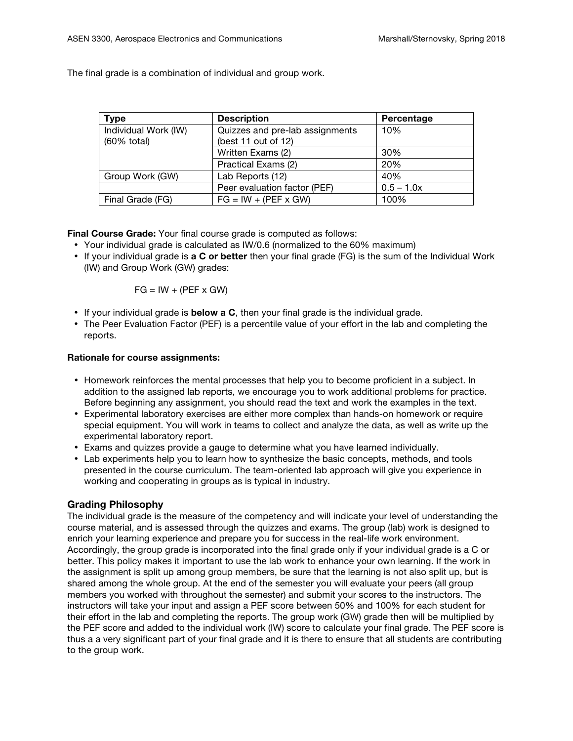The final grade is a combination of individual and group work.

| <b>Type</b>          | <b>Description</b>              | Percentage   |
|----------------------|---------------------------------|--------------|
| Individual Work (IW) | Quizzes and pre-lab assignments | 10%          |
| (60% total)          | (best 11 out of 12)             |              |
|                      | Written Exams (2)               | 30%          |
|                      | Practical Exams (2)             | 20%          |
| Group Work (GW)      | Lab Reports (12)                | 40%          |
|                      | Peer evaluation factor (PEF)    | $0.5 - 1.0x$ |
| Final Grade (FG)     | $FG = IW + (PEF \times GW)$     | 100%         |

**Final Course Grade:** Your final course grade is computed as follows:

- Your individual grade is calculated as IW/0.6 (normalized to the 60% maximum)
- If your individual grade is **a C or better** then your final grade (FG) is the sum of the Individual Work (IW) and Group Work (GW) grades:

$$
FG = IW + (PEF \times GW)
$$

- If your individual grade is **below a C**, then your final grade is the individual grade.
- The Peer Evaluation Factor (PEF) is a percentile value of your effort in the lab and completing the reports.

#### **Rationale for course assignments:**

- Homework reinforces the mental processes that help you to become proficient in a subject. In addition to the assigned lab reports, we encourage you to work additional problems for practice. Before beginning any assignment, you should read the text and work the examples in the text.
- Experimental laboratory exercises are either more complex than hands-on homework or require special equipment. You will work in teams to collect and analyze the data, as well as write up the experimental laboratory report.
- Exams and quizzes provide a gauge to determine what you have learned individually.
- Lab experiments help you to learn how to synthesize the basic concepts, methods, and tools presented in the course curriculum. The team-oriented lab approach will give you experience in working and cooperating in groups as is typical in industry.

### **Grading Philosophy**

The individual grade is the measure of the competency and will indicate your level of understanding the course material, and is assessed through the quizzes and exams. The group (lab) work is designed to enrich your learning experience and prepare you for success in the real-life work environment. Accordingly, the group grade is incorporated into the final grade only if your individual grade is a C or better. This policy makes it important to use the lab work to enhance your own learning. If the work in the assignment is split up among group members, be sure that the learning is not also split up, but is shared among the whole group. At the end of the semester you will evaluate your peers (all group members you worked with throughout the semester) and submit your scores to the instructors. The instructors will take your input and assign a PEF score between 50% and 100% for each student for their effort in the lab and completing the reports. The group work (GW) grade then will be multiplied by the PEF score and added to the individual work (IW) score to calculate your final grade. The PEF score is thus a a very significant part of your final grade and it is there to ensure that all students are contributing to the group work.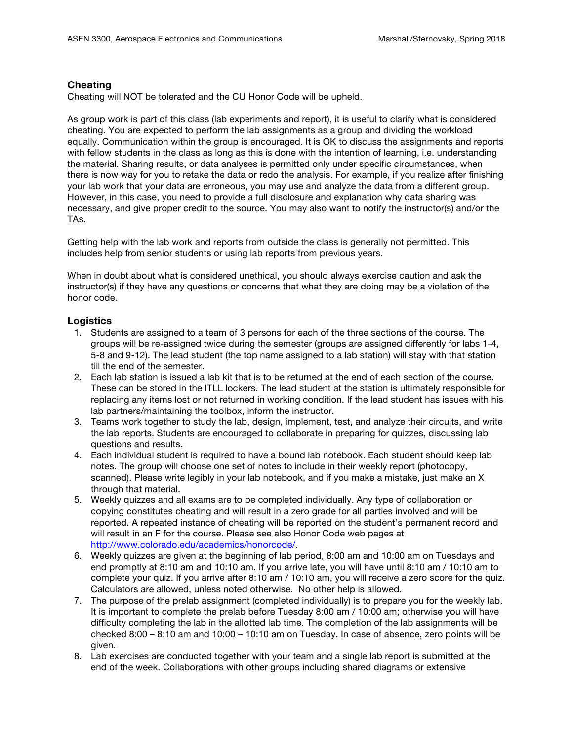### **Cheating**

Cheating will NOT be tolerated and the CU Honor Code will be upheld.

As group work is part of this class (lab experiments and report), it is useful to clarify what is considered cheating. You are expected to perform the lab assignments as a group and dividing the workload equally. Communication within the group is encouraged. It is OK to discuss the assignments and reports with fellow students in the class as long as this is done with the intention of learning, i.e. understanding the material. Sharing results, or data analyses is permitted only under specific circumstances, when there is now way for you to retake the data or redo the analysis. For example, if you realize after finishing your lab work that your data are erroneous, you may use and analyze the data from a different group. However, in this case, you need to provide a full disclosure and explanation why data sharing was necessary, and give proper credit to the source. You may also want to notify the instructor(s) and/or the TAs.

Getting help with the lab work and reports from outside the class is generally not permitted. This includes help from senior students or using lab reports from previous years.

When in doubt about what is considered unethical, you should always exercise caution and ask the instructor(s) if they have any questions or concerns that what they are doing may be a violation of the honor code.

### **Logistics**

- 1. Students are assigned to a team of 3 persons for each of the three sections of the course. The groups will be re-assigned twice during the semester (groups are assigned differently for labs 1-4, 5-8 and 9-12). The lead student (the top name assigned to a lab station) will stay with that station till the end of the semester.
- 2. Each lab station is issued a lab kit that is to be returned at the end of each section of the course. These can be stored in the ITLL lockers. The lead student at the station is ultimately responsible for replacing any items lost or not returned in working condition. If the lead student has issues with his lab partners/maintaining the toolbox, inform the instructor.
- 3. Teams work together to study the lab, design, implement, test, and analyze their circuits, and write the lab reports. Students are encouraged to collaborate in preparing for quizzes, discussing lab questions and results.
- 4. Each individual student is required to have a bound lab notebook. Each student should keep lab notes. The group will choose one set of notes to include in their weekly report (photocopy, scanned). Please write legibly in your lab notebook, and if you make a mistake, just make an X through that material.
- 5. Weekly quizzes and all exams are to be completed individually. Any type of collaboration or copying constitutes cheating and will result in a zero grade for all parties involved and will be reported. A repeated instance of cheating will be reported on the student's permanent record and will result in an F for the course. Please see also Honor Code web pages at http://www.colorado.edu/academics/honorcode/.
- 6. Weekly quizzes are given at the beginning of lab period, 8:00 am and 10:00 am on Tuesdays and end promptly at 8:10 am and 10:10 am. If you arrive late, you will have until 8:10 am / 10:10 am to complete your quiz. If you arrive after 8:10 am / 10:10 am, you will receive a zero score for the quiz. Calculators are allowed, unless noted otherwise. No other help is allowed.
- 7. The purpose of the prelab assignment (completed individually) is to prepare you for the weekly lab. It is important to complete the prelab before Tuesday 8:00 am / 10:00 am; otherwise you will have difficulty completing the lab in the allotted lab time. The completion of the lab assignments will be checked 8:00 – 8:10 am and 10:00 – 10:10 am on Tuesday. In case of absence, zero points will be given.
- 8. Lab exercises are conducted together with your team and a single lab report is submitted at the end of the week. Collaborations with other groups including shared diagrams or extensive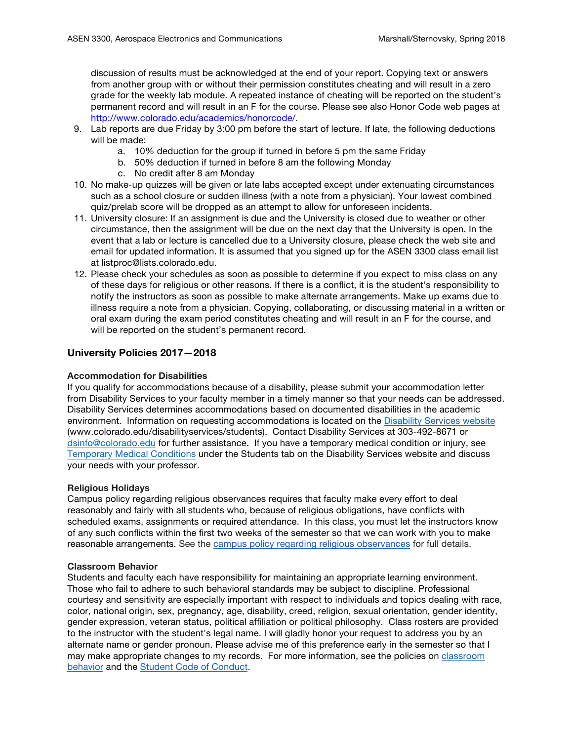discussion of results must be acknowledged at the end of your report. Copying text or answers from another group with or without their permission constitutes cheating and will result in a zero grade for the weekly lab module. A repeated instance of cheating will be reported on the student's permanent record and will result in an F for the course. Please see also Honor Code web pages at http://www.colorado.edu/academics/honorcode/.

- 9. Lab reports are due Friday by 3:00 pm before the start of lecture. If late, the following deductions will be made:
	- a. 10% deduction for the group if turned in before 5 pm the same Friday
	- b. 50% deduction if turned in before 8 am the following Monday
	- c. No credit after 8 am Monday
- 10. No make-up quizzes will be given or late labs accepted except under extenuating circumstances such as a school closure or sudden illness (with a note from a physician). Your lowest combined quiz/prelab score will be dropped as an attempt to allow for unforeseen incidents.
- 11. University closure: If an assignment is due and the University is closed due to weather or other circumstance, then the assignment will be due on the next day that the University is open. In the event that a lab or lecture is cancelled due to a University closure, please check the web site and email for updated information. It is assumed that you signed up for the ASEN 3300 class email list at listproc@lists.colorado.edu.
- 12. Please check your schedules as soon as possible to determine if you expect to miss class on any of these days for religious or other reasons. If there is a conflict, it is the student's responsibility to notify the instructors as soon as possible to make alternate arrangements. Make up exams due to illness require a note from a physician. Copying, collaborating, or discussing material in a written or oral exam during the exam period constitutes cheating and will result in an F for the course, and will be reported on the student's permanent record.

### **University Policies 2017—2018**

#### **Accommodation for Disabilities**

If you qualify for accommodations because of a disability, please submit your accommodation letter from Disability Services to your faculty member in a timely manner so that your needs can be addressed. Disability Services determines accommodations based on documented disabilities in the academic environment. Information on requesting accommodations is located on the Disability Services website (www.colorado.edu/disabilityservices/students). Contact Disability Services at 303-492-8671 or dsinfo@colorado.edu for further assistance. If you have a temporary medical condition or injury, see Temporary Medical Conditions under the Students tab on the Disability Services website and discuss your needs with your professor.

#### **Religious Holidays**

Campus policy regarding religious observances requires that faculty make every effort to deal reasonably and fairly with all students who, because of religious obligations, have conflicts with scheduled exams, assignments or required attendance. In this class, you must let the instructors know of any such conflicts within the first two weeks of the semester so that we can work with you to make reasonable arrangements. See the campus policy regarding religious observances for full details.

#### **Classroom Behavior**

Students and faculty each have responsibility for maintaining an appropriate learning environment. Those who fail to adhere to such behavioral standards may be subject to discipline. Professional courtesy and sensitivity are especially important with respect to individuals and topics dealing with race, color, national origin, sex, pregnancy, age, disability, creed, religion, sexual orientation, gender identity, gender expression, veteran status, political affiliation or political philosophy. Class rosters are provided to the instructor with the student's legal name. I will gladly honor your request to address you by an alternate name or gender pronoun. Please advise me of this preference early in the semester so that I may make appropriate changes to my records. For more information, see the policies on classroom behavior and the Student Code of Conduct.